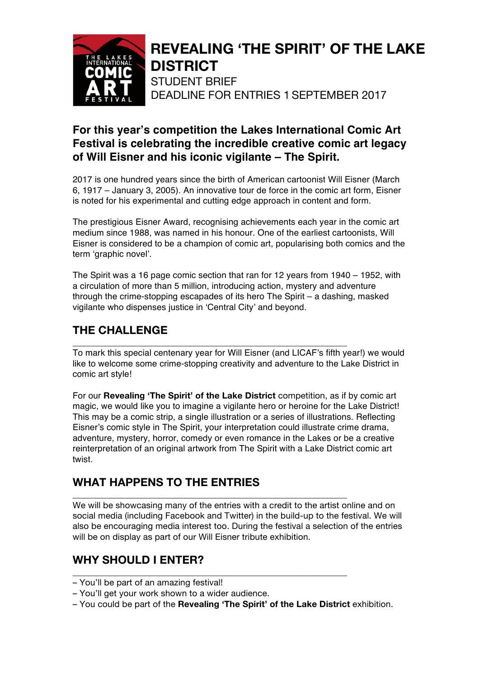

# **REVEALING 'THE SPIRIT' OF THE LAKE DISTRICT**

STUDENT BRIEF DEADLINE FOR ENTRIES 1 SEPTEMBER 2017

### **For this year's competition the Lakes International Comic Art Festival is celebrating the incredible creative comic art legacy of Will Eisner and his iconic vigilante – The Spirit.**

2017 is one hundred years since the birth of American cartoonist Will Eisner (March 6, 1917 – January 3, 2005). An innovative tour de force in the comic art form, Eisner is noted for his experimental and cutting edge approach in content and form.

The prestigious Eisner Award, recognising achievements each year in the comic art medium since 1988, was named in his honour. One of the earliest cartoonists, Will Eisner is considered to be a champion of comic art, popularising both comics and the term 'graphic novel'.

The Spirit was a 16 page comic section that ran for 12 years from 1940 – 1952, with a circulation of more than 5 million, introducing action, mystery and adventure through the crime-stopping escapades of its hero The Spirit – a dashing, masked vigilante who dispenses justice in 'Central City' and beyond.

# **THE CHALLENGE**

**\_\_\_\_\_\_\_\_\_\_\_\_\_\_\_\_\_\_\_\_\_\_\_\_\_\_\_\_\_\_\_\_\_\_\_\_\_\_\_\_\_\_\_\_\_\_\_\_\_\_\_\_\_\_\_\_\_\_\_\_\_\_** To mark this special centenary year for Will Eisner (and LICAF's fifth year!) we would like to welcome some crime-stopping creativity and adventure to the Lake District in comic art style!

For our **Revealing 'The Spirit' of the Lake District** competition, as if by comic art magic, we would like you to imagine a vigilante hero or heroine for the Lake District! This may be a comic strip, a single illustration or a series of illustrations. Reflecting Eisner's comic style in The Spirit, your interpretation could illustrate crime drama, adventure, mystery, horror, comedy or even romance in the Lakes or be a creative reinterpretation of an original artwork from The Spirit with a Lake District comic art twist.

# **WHAT HAPPENS TO THE ENTRIES**

**\_\_\_\_\_\_\_\_\_\_\_\_\_\_\_\_\_\_\_\_\_\_\_\_\_\_\_\_\_\_\_\_\_\_\_\_\_\_\_\_\_\_\_\_\_\_\_\_\_\_\_\_\_\_\_\_\_\_\_\_\_\_** We will be showcasing many of the entries with a credit to the artist online and on social media (including Facebook and Twitter) in the build-up to the festival. We will also be encouraging media interest too. During the festival a selection of the entries will be on display as part of our Will Eisner tribute exhibition.

# **WHY SHOULD I ENTER?**

- You'll be part of an amazing festival!
- You'll get your work shown to a wider audience.
- You could be part of the **Revealing 'The Spirit' of the Lake District** exhibition.

**\_\_\_\_\_\_\_\_\_\_\_\_\_\_\_\_\_\_\_\_\_\_\_\_\_\_\_\_\_\_\_\_\_\_\_\_\_\_\_\_\_\_\_\_\_\_\_\_\_\_\_\_\_\_\_\_\_\_\_\_\_\_**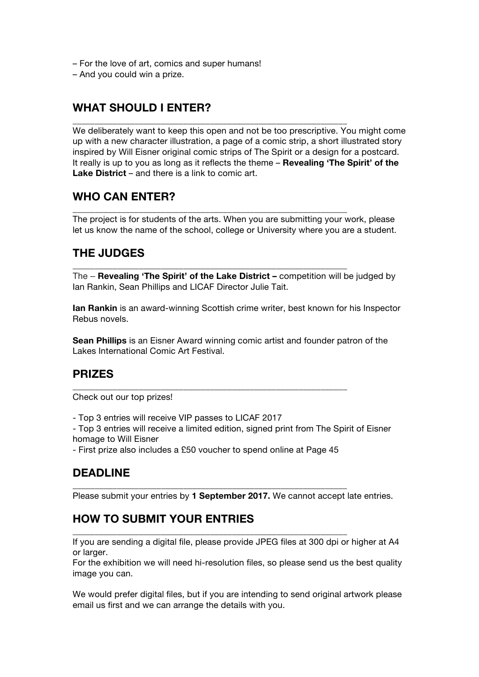- For the love of art, comics and super humans!
- And you could win a prize.

### **WHAT SHOULD I ENTER?**

We deliberately want to keep this open and not be too prescriptive. You might come up with a new character illustration, a page of a comic strip, a short illustrated story inspired by Will Eisner original comic strips of The Spirit or a design for a postcard. It really is up to you as long as it reflects the theme – **Revealing 'The Spirit' of the Lake District** – and there is a link to comic art.

**\_\_\_\_\_\_\_\_\_\_\_\_\_\_\_\_\_\_\_\_\_\_\_\_\_\_\_\_\_\_\_\_\_\_\_\_\_\_\_\_\_\_\_\_\_\_\_\_\_\_\_\_\_\_\_\_\_\_\_\_\_\_**

**\_\_\_\_\_\_\_\_\_\_\_\_\_\_\_\_\_\_\_\_\_\_\_\_\_\_\_\_\_\_\_\_\_\_\_\_\_\_\_\_\_\_\_\_\_\_\_\_\_\_\_\_\_\_\_\_\_\_\_\_\_\_**

**\_\_\_\_\_\_\_\_\_\_\_\_\_\_\_\_\_\_\_\_\_\_\_\_\_\_\_\_\_\_\_\_\_\_\_\_\_\_\_\_\_\_\_\_\_\_\_\_\_\_\_\_\_\_\_\_\_\_\_\_\_\_**

#### **WHO CAN ENTER?**

The project is for students of the arts. When you are submitting your work, please let us know the name of the school, college or University where you are a student.

#### **THE JUDGES**

The – **Revealing 'The Spirit' of the Lake District –** competition will be judged by Ian Rankin, Sean Phillips and LICAF Director Julie Tait.

**Ian Rankin** is an award-winning Scottish crime writer, best known for his Inspector Rebus novels.

**Sean Phillips** is an Eisner Award winning comic artist and founder patron of the Lakes International Comic Art Festival.

#### **PRIZES**

Check out our top prizes!

- Top 3 entries will receive VIP passes to LICAF 2017

- Top 3 entries will receive a limited edition, signed print from The Spirit of Eisner homage to Will Eisner

- First prize also includes a £50 voucher to spend online at Page 45

**\_\_\_\_\_\_\_\_\_\_\_\_\_\_\_\_\_\_\_\_\_\_\_\_\_\_\_\_\_\_\_\_\_\_\_\_\_\_\_\_\_\_\_\_\_\_\_\_\_\_\_\_\_\_\_\_\_\_\_\_\_\_**

**\_\_\_\_\_\_\_\_\_\_\_\_\_\_\_\_\_\_\_\_\_\_\_\_\_\_\_\_\_\_\_\_\_\_\_\_\_\_\_\_\_\_\_\_\_\_\_\_\_\_\_\_\_\_\_\_\_\_\_\_\_\_**

**\_\_\_\_\_\_\_\_\_\_\_\_\_\_\_\_\_\_\_\_\_\_\_\_\_\_\_\_\_\_\_\_\_\_\_\_\_\_\_\_\_\_\_\_\_\_\_\_\_\_\_\_\_\_\_\_\_\_\_\_\_\_**

#### **DEADLINE**

Please submit your entries by **1 September 2017.** We cannot accept late entries.

#### **HOW TO SUBMIT YOUR ENTRIES**

If you are sending a digital file, please provide JPEG files at 300 dpi or higher at A4 or larger.

For the exhibition we will need hi-resolution files, so please send us the best quality image you can.

We would prefer digital files, but if you are intending to send original artwork please email us first and we can arrange the details with you.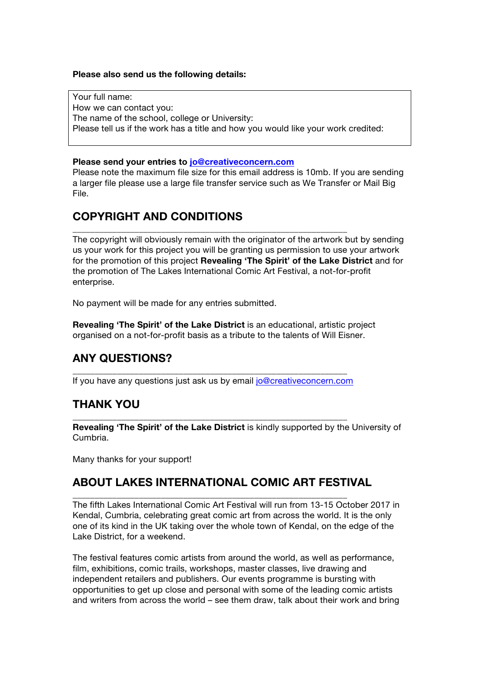#### **Please also send us the following details:**

Your full name: How we can contact you: The name of the school, college or University: Please tell us if the work has a title and how you would like your work credited:

#### **Please send your entries to jo@creativeconcern.com**

Please note the maximum file size for this email address is 10mb. If you are sending a larger file please use a large file transfer service such as We Transfer or Mail Big File.

### **COPYRIGHT AND CONDITIONS**

The copyright will obviously remain with the originator of the artwork but by sending us your work for this project you will be granting us permission to use your artwork for the promotion of this project **Revealing 'The Spirit' of the Lake District** and for the promotion of The Lakes International Comic Art Festival, a not-for-profit enterprise.

No payment will be made for any entries submitted.

**Revealing 'The Spirit' of the Lake District** is an educational, artistic project organised on a not-for-profit basis as a tribute to the talents of Will Eisner.

## **ANY QUESTIONS?**

**\_\_\_\_\_\_\_\_\_\_\_\_\_\_\_\_\_\_\_\_\_\_\_\_\_\_\_\_\_\_\_\_\_\_\_\_\_\_\_\_\_\_\_\_\_\_\_\_\_\_\_\_\_\_\_\_\_\_\_\_\_\_** If you have any questions just ask us by email jo@creativeconcern.com

**\_\_\_\_\_\_\_\_\_\_\_\_\_\_\_\_\_\_\_\_\_\_\_\_\_\_\_\_\_\_\_\_\_\_\_\_\_\_\_\_\_\_\_\_\_\_\_\_\_\_\_\_\_\_\_\_\_\_\_\_\_\_**

**\_\_\_\_\_\_\_\_\_\_\_\_\_\_\_\_\_\_\_\_\_\_\_\_\_\_\_\_\_\_\_\_\_\_\_\_\_\_\_\_\_\_\_\_\_\_\_\_\_\_\_\_\_\_\_\_\_\_\_\_\_\_**

#### **THANK YOU**

**Revealing 'The Spirit' of the Lake District** is kindly supported by the University of Cumbria.

Many thanks for your support!

#### **ABOUT LAKES INTERNATIONAL COMIC ART FESTIVAL**

**\_\_\_\_\_\_\_\_\_\_\_\_\_\_\_\_\_\_\_\_\_\_\_\_\_\_\_\_\_\_\_\_\_\_\_\_\_\_\_\_\_\_\_\_\_\_\_\_\_\_\_\_\_\_\_\_\_\_\_\_\_\_**

The fifth Lakes International Comic Art Festival will run from 13-15 October 2017 in Kendal, Cumbria, celebrating great comic art from across the world. It is the only one of its kind in the UK taking over the whole town of Kendal, on the edge of the Lake District, for a weekend.

The festival features comic artists from around the world, as well as performance, film, exhibitions, comic trails, workshops, master classes, live drawing and independent retailers and publishers. Our events programme is bursting with opportunities to get up close and personal with some of the leading comic artists and writers from across the world – see them draw, talk about their work and bring